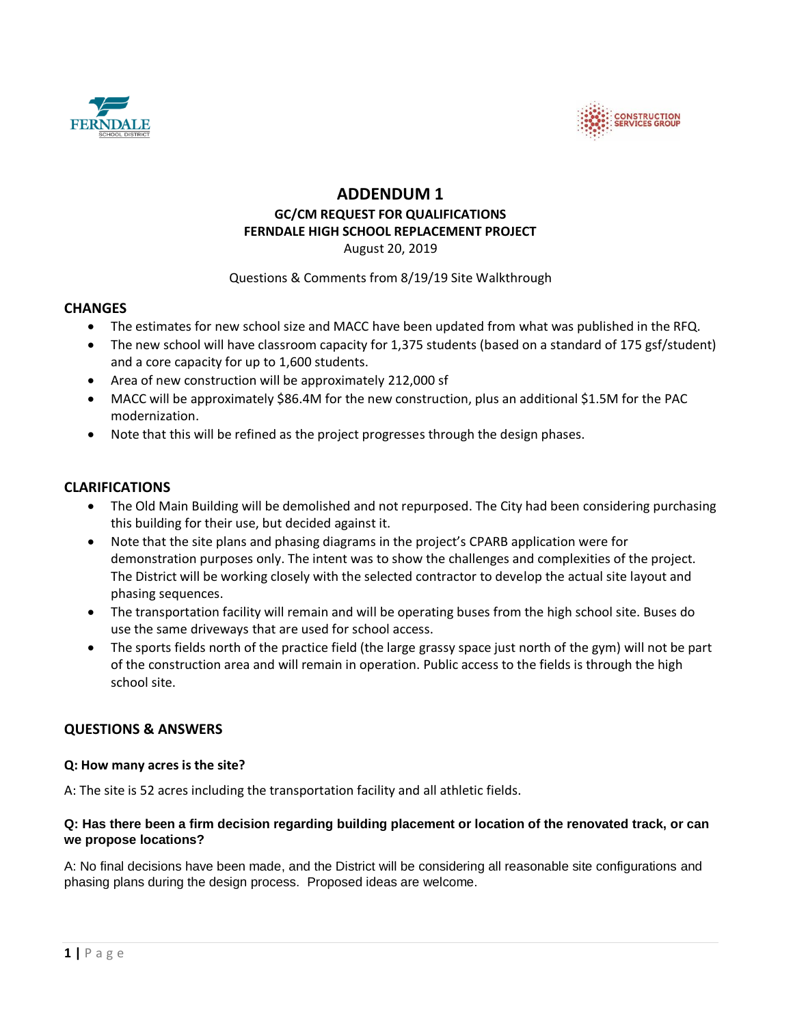



# **ADDENDUM 1 GC/CM REQUEST FOR QUALIFICATIONS FERNDALE HIGH SCHOOL REPLACEMENT PROJECT** August 20, 2019

## Questions & Comments from 8/19/19 Site Walkthrough

# **CHANGES**

- The estimates for new school size and MACC have been updated from what was published in the RFQ.
- The new school will have classroom capacity for 1,375 students (based on a standard of 175 gsf/student) and a core capacity for up to 1,600 students.
- Area of new construction will be approximately 212,000 sf
- MACC will be approximately \$86.4M for the new construction, plus an additional \$1.5M for the PAC modernization.
- Note that this will be refined as the project progresses through the design phases.

## **CLARIFICATIONS**

- The Old Main Building will be demolished and not repurposed. The City had been considering purchasing this building for their use, but decided against it.
- Note that the site plans and phasing diagrams in the project's CPARB application were for demonstration purposes only. The intent was to show the challenges and complexities of the project. The District will be working closely with the selected contractor to develop the actual site layout and phasing sequences.
- The transportation facility will remain and will be operating buses from the high school site. Buses do use the same driveways that are used for school access.
- The sports fields north of the practice field (the large grassy space just north of the gym) will not be part of the construction area and will remain in operation. Public access to the fields is through the high school site.

# **QUESTIONS & ANSWERS**

### **Q: How many acres is the site?**

A: The site is 52 acres including the transportation facility and all athletic fields.

### **Q: Has there been a firm decision regarding building placement or location of the renovated track, or can we propose locations?**

A: No final decisions have been made, and the District will be considering all reasonable site configurations and phasing plans during the design process. Proposed ideas are welcome.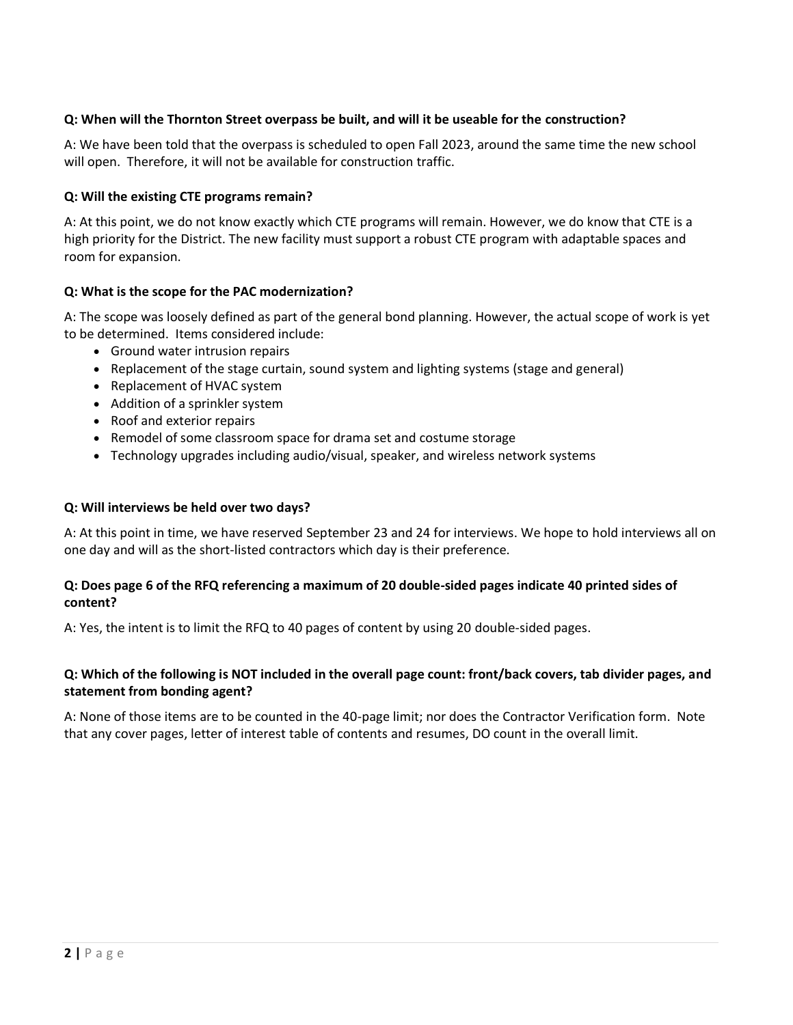# **Q: When will the Thornton Street overpass be built, and will it be useable for the construction?**

A: We have been told that the overpass is scheduled to open Fall 2023, around the same time the new school will open. Therefore, it will not be available for construction traffic.

#### **Q: Will the existing CTE programs remain?**

A: At this point, we do not know exactly which CTE programs will remain. However, we do know that CTE is a high priority for the District. The new facility must support a robust CTE program with adaptable spaces and room for expansion.

### **Q: What is the scope for the PAC modernization?**

A: The scope was loosely defined as part of the general bond planning. However, the actual scope of work is yet to be determined. Items considered include:

- Ground water intrusion repairs
- Replacement of the stage curtain, sound system and lighting systems (stage and general)
- Replacement of HVAC system
- Addition of a sprinkler system
- Roof and exterior repairs
- Remodel of some classroom space for drama set and costume storage
- Technology upgrades including audio/visual, speaker, and wireless network systems

#### **Q: Will interviews be held over two days?**

A: At this point in time, we have reserved September 23 and 24 for interviews. We hope to hold interviews all on one day and will as the short-listed contractors which day is their preference.

### **Q: Does page 6 of the RFQ referencing a maximum of 20 double-sided pages indicate 40 printed sides of content?**

A: Yes, the intent is to limit the RFQ to 40 pages of content by using 20 double-sided pages.

## **Q: Which of the following is NOT included in the overall page count: front/back covers, tab divider pages, and statement from bonding agent?**

A: None of those items are to be counted in the 40-page limit; nor does the Contractor Verification form. Note that any cover pages, letter of interest table of contents and resumes, DO count in the overall limit.